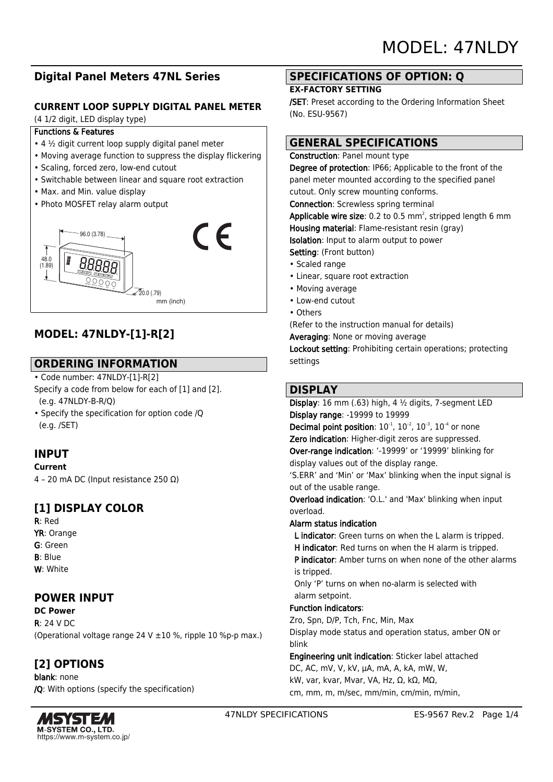# **Digital Panel Meters 47NL Series**

### **CURRENT LOOP SUPPLY DIGITAL PANEL METER**

(4 1/2 digit, LED display type)

#### Functions & Features

- 4 ½ digit current loop supply digital panel meter
- Moving average function to suppress the display flickering
- Scaling, forced zero, low-end cutout
- Switchable between linear and square root extraction
- Max. and Min. value display
- Photo MOSFET relay alarm output



# **MODEL: 47NLDY-[1]-R[2]**

# **ORDERING INFORMATION**

- Code number: 47NLDY-[1]-R[2] Specify a code from below for each of [1] and [2]. (e.g. 47NLDY-B-R/Q)
- Specify the specification for option code /Q (e.g. /SET)

# **INPUT**

#### **Current**

4 – 20 mA DC (Input resistance 250 Ω)

# **[1] DISPLAY COLOR**

R: Red YR: Orange G: Green B: Blue W: White

# **POWER INPUT**

**DC Power**  $R: 24 V D C$ (Operational voltage range 24 V  $\pm$ 10 %, ripple 10 %p-p max.)

# **[2] OPTIONS**

blank: none /Q: With options (specify the specification)



## **SPECIFICATIONS OF OPTION: Q**

#### **EX-FACTORY SETTING**

/SET: Preset according to the Ordering Information Sheet (No. ESU-9567)

# **GENERAL SPECIFICATIONS**

Construction: Panel mount type Degree of protection: IP66; Applicable to the front of the panel meter mounted according to the specified panel cutout. Only screw mounting conforms. Connection: Screwless spring terminal **Applicable wire size**: 0.2 to 0.5 mm<sup>2</sup>, stripped length 6 mm Housing material: Flame-resistant resin (gray) Isolation: Input to alarm output to power Setting: (Front button) • Scaled range

- Linear, square root extraction
- Moving average
- Low-end cutout
- Others

(Refer to the instruction manual for details)

Averaging: None or moving average

Lockout setting: Prohibiting certain operations; protecting settings

## **DISPLAY**

Display: 16 mm (.63) high, 4 ½ digits, 7-segment LED Display range: -19999 to 19999 **Decimal point position:**  $10^{-1}$ ,  $10^{-2}$ ,  $10^{-3}$ ,  $10^{-4}$  or none Zero indication: Higher-digit zeros are suppressed. Over-range indication: '-19999' or '19999' blinking for display values out of the display range. 'S.ERR' and 'Min' or 'Max' blinking when the input signal is out of the usable range. Overload indication: 'O.L.' and 'Max' blinking when input overload. Alarm status indication L indicator: Green turns on when the L alarm is tripped. H indicator: Red turns on when the H alarm is tripped. P indicator: Amber turns on when none of the other alarms is tripped. Only 'P' turns on when no-alarm is selected with alarm setpoint. Function indicators: Zro, Spn, D/P, Tch, Fnc, Min, Max Display mode status and operation status, amber ON or blink Engineering unit indication: Sticker label attached DC, AC, mV, V, kV, μA, mA, A, kA, mW, W, kW, var, kvar, Mvar, VA, Hz, Ω, kΩ, MΩ, cm, mm, m, m/sec, mm/min, cm/min, m/min,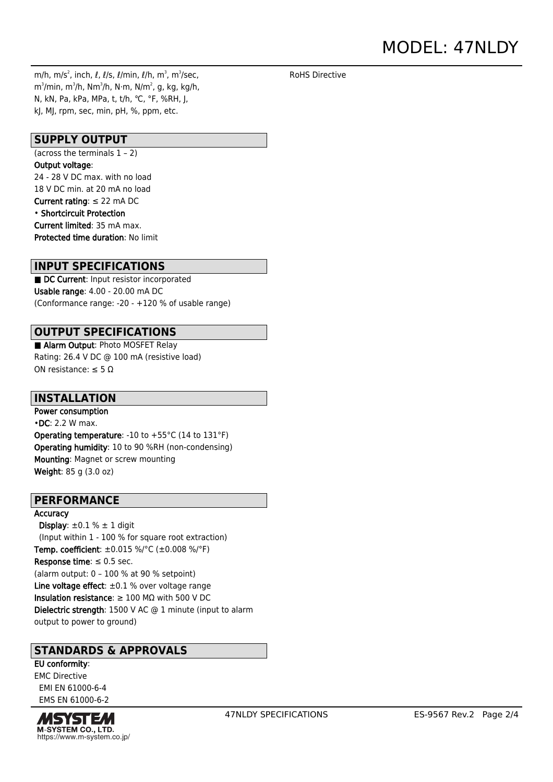# MODEL: 47NLDY

RoHS Directive

m/h, m/s $^2$ , inch,  $\ell$ ,  $\ell$ /s,  $\ell$ /min,  $\ell$ /h, m $^3$ , m $^3$ /sec, m $^3$ /min, m $^3$ /h, N $\cdot$ m, N $^2$ , N, kg, kg/h, N, kN, Pa, kPa, MPa, t, t/h, ℃, °F, %RH, J, kJ, MJ, rpm, sec, min, pH, %, ppm, etc.

### **SUPPLY OUTPUT**

(across the terminals  $1 - 2$ ) Output voltage: 24 - 28 V DC max. with no load 18 V DC min. at 20 mA no load Current rating: ≤ 22 mA DC • Shortcircuit Protection Current limited: 35 mA max. Protected time duration: No limit

#### **INPUT SPECIFICATIONS**

■ DC Current: Input resistor incorporated Usable range: 4.00 - 20.00 mA DC (Conformance range: -20 - +120 % of usable range)

## **OUTPUT SPECIFICATIONS**

■ Alarm Output: Photo MOSFET Relay Rating: 26.4 V DC @ 100 mA (resistive load) ON resistance:  $\leq 5 \Omega$ 

### **INSTALLATION**

Power consumption •DC: 2.2 W max. Operating temperature: -10 to +55°C (14 to 131°F) Operating humidity: 10 to 90 %RH (non-condensing) Mounting: Magnet or screw mounting Weight: 85 g (3.0 oz)

### **PERFORMANCE**

**Accuracy** 

Display:  $\pm 0.1$  %  $\pm$  1 digit (Input within 1 - 100 % for square root extraction) Temp. coefficient: ±0.015 %/°C (±0.008 %/°F) Response time:  $\leq 0.5$  sec. (alarm output: 0 – 100 % at 90 % setpoint) Line voltage effect:  $\pm 0.1$  % over voltage range Insulation resistance:  $\geq 100$  M $\Omega$  with 500 V DC Dielectric strength: 1500 V AC @ 1 minute (input to alarm output to power to ground)

## **STANDARDS & APPROVALS**

EU conformity: EMC Directive EMI EN 61000-6-4 EMS EN 61000-6-2

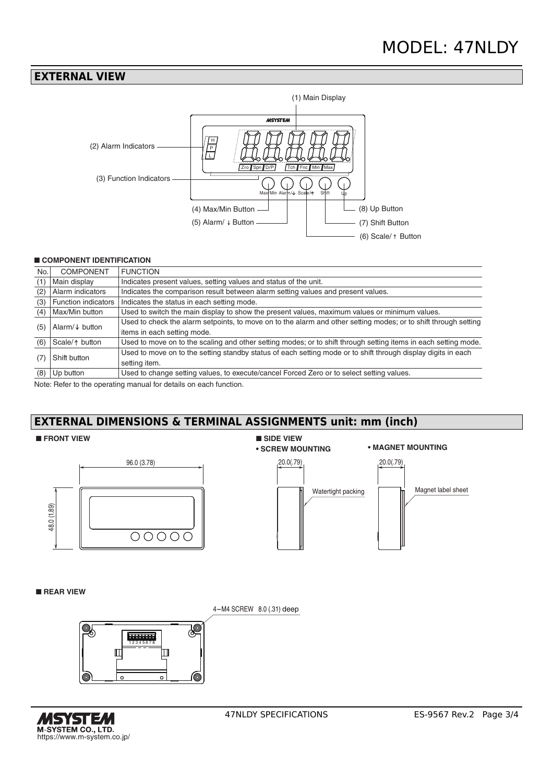## **EXTERNAL VIEW**



#### ■ **COMPONENT IDENTIFICATION**

| No. | <b>COMPONENT</b>           | <b>FUNCTION</b>                                                                                                 |
|-----|----------------------------|-----------------------------------------------------------------------------------------------------------------|
| (1) | Main display               | Indicates present values, setting values and status of the unit.                                                |
| (2) | Alarm indicators           | Indicates the comparison result between alarm setting values and present values.                                |
| (3) | <b>Function indicators</b> | Indicates the status in each setting mode.                                                                      |
| (4) | Max/Min button             | Used to switch the main display to show the present values, maximum values or minimum values.                   |
| (5) | Alarm/ $\downarrow$ button | Used to check the alarm setpoints, to move on to the alarm and other setting modes; or to shift through setting |
|     |                            | items in each setting mode.                                                                                     |
| (6) | Scale/ $\uparrow$ button   | Used to move on to the scaling and other setting modes; or to shift through setting items in each setting mode. |
| (7) | Shift button               | Used to move on to the setting standby status of each setting mode or to shift through display digits in each   |
|     |                            | setting item.                                                                                                   |
| (8) | Up button                  | Used to change setting values, to execute/cancel Forced Zero or to select setting values.                       |

Note: Refer to the operating manual for details on each function.

## **EXTERNAL DIMENSIONS & TERMINAL ASSIGNMENTS unit: mm (inch)**

#### ■ **FRONT VIEW**





■ **REAR VIEW**

4-M4 SCREW 8.0 (.31) deep





Magnet label sheet